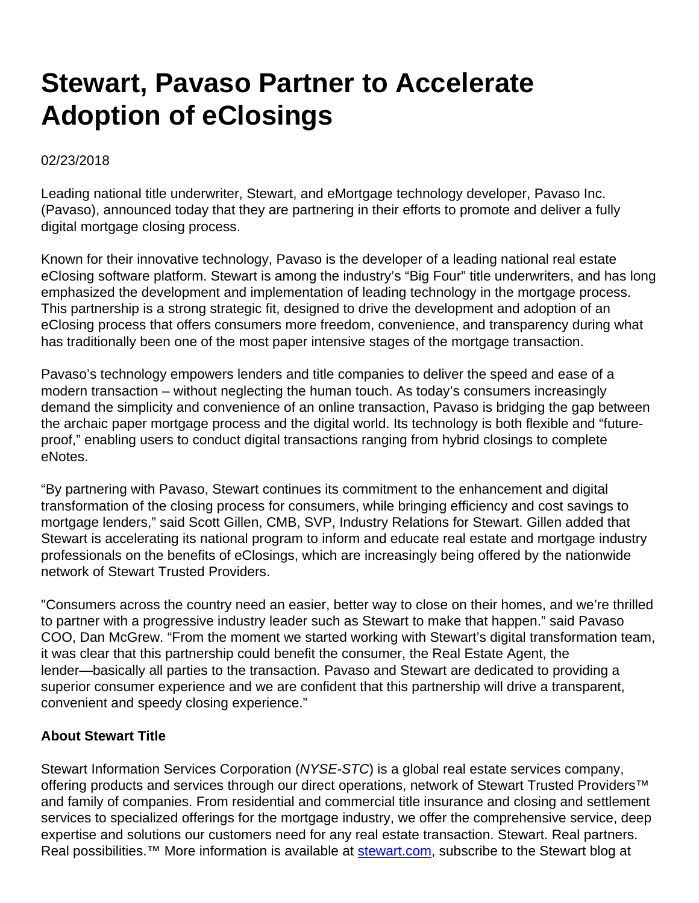## **Stewart, Pavaso Partner to Accelerate Adoption of eClosings**

02/23/2018

Leading national title underwriter, Stewart, and eMortgage technology developer, Pavaso Inc. (Pavaso), announced today that they are partnering in their efforts to promote and deliver a fully digital mortgage closing process.

Known for their innovative technology, Pavaso is the developer of a leading national real estate eClosing software platform. Stewart is among the industry's "Big Four" title underwriters, and has long emphasized the development and implementation of leading technology in the mortgage process. This partnership is a strong strategic fit, designed to drive the development and adoption of an eClosing process that offers consumers more freedom, convenience, and transparency during what has traditionally been one of the most paper intensive stages of the mortgage transaction.

Pavaso's technology empowers lenders and title companies to deliver the speed and ease of a modern transaction – without neglecting the human touch. As today's consumers increasingly demand the simplicity and convenience of an online transaction, Pavaso is bridging the gap between the archaic paper mortgage process and the digital world. Its technology is both flexible and "futureproof," enabling users to conduct digital transactions ranging from hybrid closings to complete eNotes.

"By partnering with Pavaso, Stewart continues its commitment to the enhancement and digital transformation of the closing process for consumers, while bringing efficiency and cost savings to mortgage lenders," said Scott Gillen, CMB, SVP, Industry Relations for Stewart. Gillen added that Stewart is accelerating its national program to inform and educate real estate and mortgage industry professionals on the benefits of eClosings, which are increasingly being offered by the nationwide network of Stewart Trusted Providers.

"Consumers across the country need an easier, better way to close on their homes, and we're thrilled to partner with a progressive industry leader such as Stewart to make that happen." said Pavaso COO, Dan McGrew. "From the moment we started working with Stewart's digital transformation team, it was clear that this partnership could benefit the consumer, the Real Estate Agent, the lender—basically all parties to the transaction. Pavaso and Stewart are dedicated to providing a superior consumer experience and we are confident that this partnership will drive a transparent, convenient and speedy closing experience."

## **About Stewart Title**

Stewart Information Services Corporation (NYSE-STC) is a global real estate services company, offering products and services through our direct operations, network of Stewart Trusted Providers<sup>™</sup> and family of companies. From residential and commercial title insurance and closing and settlement services to specialized offerings for the mortgage industry, we offer the comprehensive service, deep expertise and solutions our customers need for any real estate transaction. Stewart. Real partners. Real possibilities.<sup>™</sup> More information is available at [stewart.com](http://www.stewart.com/), subscribe to the Stewart blog at